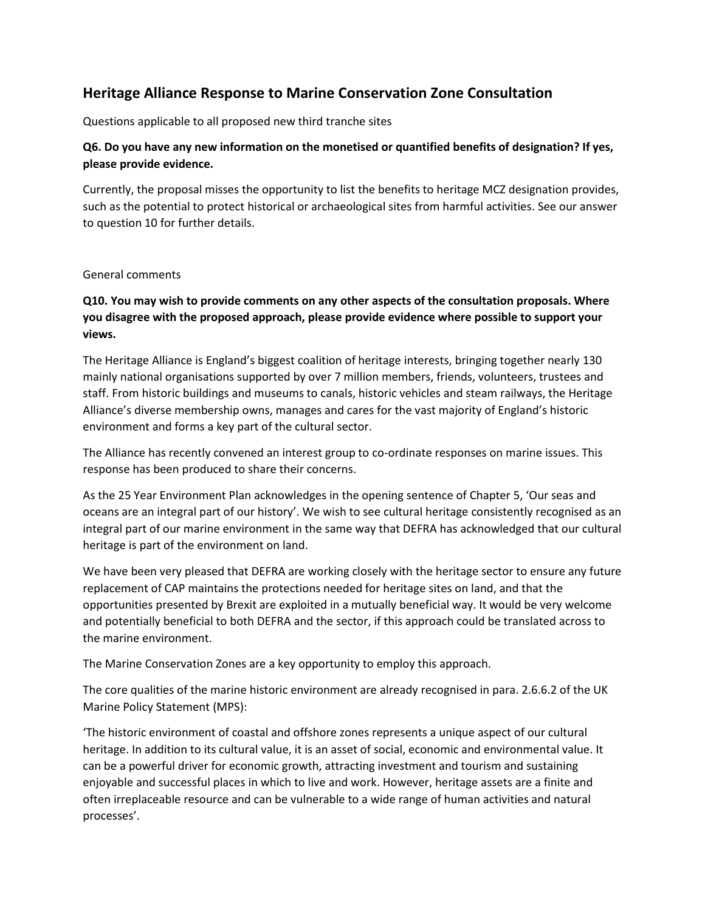## **Heritage Alliance Response to Marine Conservation Zone Consultation**

Questions applicable to all proposed new third tranche sites

## **Q6. Do you have any new information on the monetised or quantified benefits of designation? If yes, please provide evidence.**

Currently, the proposal misses the opportunity to list the benefits to heritage MCZ designation provides, such as the potential to protect historical or archaeological sites from harmful activities. See our answer to question 10 for further details.

## General comments

## **Q10. You may wish to provide comments on any other aspects of the consultation proposals. Where you disagree with the proposed approach, please provide evidence where possible to support your views.**

The Heritage Alliance is England's biggest coalition of heritage interests, bringing together nearly 130 mainly national organisations supported by over 7 million members, friends, volunteers, trustees and staff. From historic buildings and museums to canals, historic vehicles and steam railways, the Heritage Alliance's diverse membership owns, manages and cares for the vast majority of England's historic environment and forms a key part of the cultural sector.

The Alliance has recently convened an interest group to co-ordinate responses on marine issues. This response has been produced to share their concerns.

As the 25 Year Environment Plan acknowledges in the opening sentence of Chapter 5, 'Our seas and oceans are an integral part of our history'. We wish to see cultural heritage consistently recognised as an integral part of our marine environment in the same way that DEFRA has acknowledged that our cultural heritage is part of the environment on land.

We have been very pleased that DEFRA are working closely with the heritage sector to ensure any future replacement of CAP maintains the protections needed for heritage sites on land, and that the opportunities presented by Brexit are exploited in a mutually beneficial way. It would be very welcome and potentially beneficial to both DEFRA and the sector, if this approach could be translated across to the marine environment.

The Marine Conservation Zones are a key opportunity to employ this approach.

The core qualities of the marine historic environment are already recognised in para. 2.6.6.2 of the UK Marine Policy Statement (MPS):

'The historic environment of coastal and offshore zones represents a unique aspect of our cultural heritage. In addition to its cultural value, it is an asset of social, economic and environmental value. It can be a powerful driver for economic growth, attracting investment and tourism and sustaining enjoyable and successful places in which to live and work. However, heritage assets are a finite and often irreplaceable resource and can be vulnerable to a wide range of human activities and natural processes'.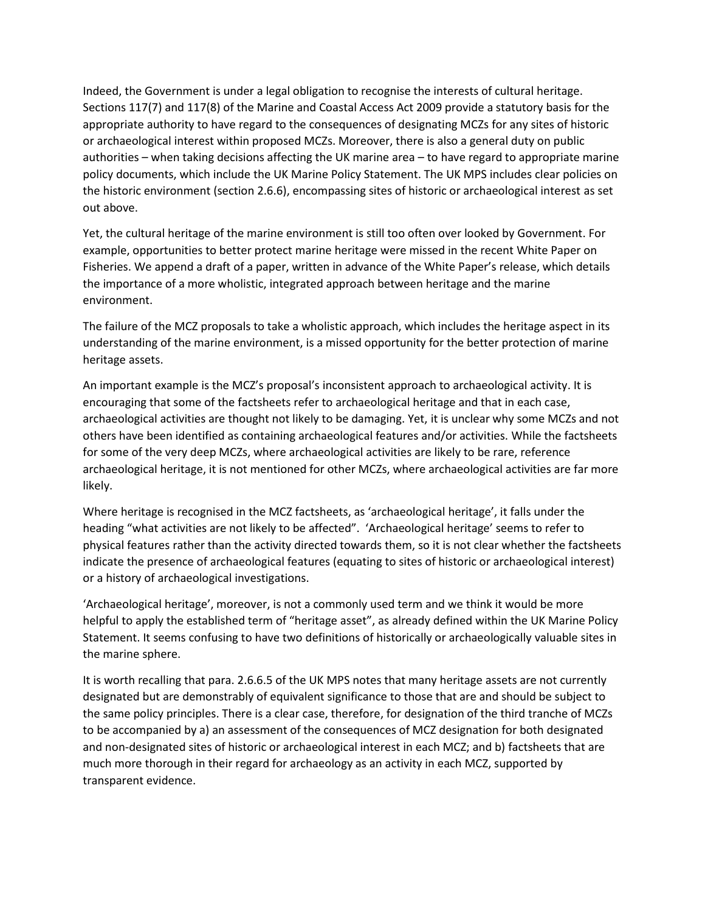Indeed, the Government is under a legal obligation to recognise the interests of cultural heritage. Sections 117(7) and 117(8) of the Marine and Coastal Access Act 2009 provide a statutory basis for the appropriate authority to have regard to the consequences of designating MCZs for any sites of historic or archaeological interest within proposed MCZs. Moreover, there is also a general duty on public authorities – when taking decisions affecting the UK marine area – to have regard to appropriate marine policy documents, which include the UK Marine Policy Statement. The UK MPS includes clear policies on the historic environment (section 2.6.6), encompassing sites of historic or archaeological interest as set out above.

Yet, the cultural heritage of the marine environment is still too often over looked by Government. For example, opportunities to better protect marine heritage were missed in the recent White Paper on Fisheries. We append a draft of a paper, written in advance of the White Paper's release, which details the importance of a more wholistic, integrated approach between heritage and the marine environment.

The failure of the MCZ proposals to take a wholistic approach, which includes the heritage aspect in its understanding of the marine environment, is a missed opportunity for the better protection of marine heritage assets.

An important example is the MCZ's proposal's inconsistent approach to archaeological activity. It is encouraging that some of the factsheets refer to archaeological heritage and that in each case, archaeological activities are thought not likely to be damaging. Yet, it is unclear why some MCZs and not others have been identified as containing archaeological features and/or activities. While the factsheets for some of the very deep MCZs, where archaeological activities are likely to be rare, reference archaeological heritage, it is not mentioned for other MCZs, where archaeological activities are far more likely.

Where heritage is recognised in the MCZ factsheets, as 'archaeological heritage', it falls under the heading "what activities are not likely to be affected". 'Archaeological heritage' seems to refer to physical features rather than the activity directed towards them, so it is not clear whether the factsheets indicate the presence of archaeological features (equating to sites of historic or archaeological interest) or a history of archaeological investigations.

'Archaeological heritage', moreover, is not a commonly used term and we think it would be more helpful to apply the established term of "heritage asset", as already defined within the UK Marine Policy Statement. It seems confusing to have two definitions of historically or archaeologically valuable sites in the marine sphere.

It is worth recalling that para. 2.6.6.5 of the UK MPS notes that many heritage assets are not currently designated but are demonstrably of equivalent significance to those that are and should be subject to the same policy principles. There is a clear case, therefore, for designation of the third tranche of MCZs to be accompanied by a) an assessment of the consequences of MCZ designation for both designated and non-designated sites of historic or archaeological interest in each MCZ; and b) factsheets that are much more thorough in their regard for archaeology as an activity in each MCZ, supported by transparent evidence.